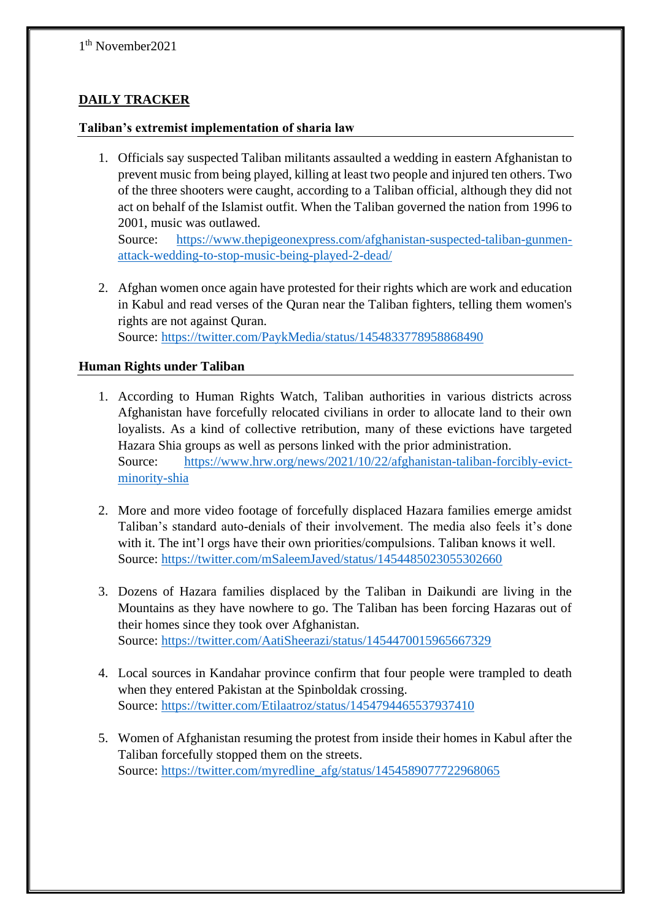# **DAILY TRACKER**

#### **Taliban's extremist implementation of sharia law**

1. Officials say suspected Taliban militants assaulted a wedding in eastern Afghanistan to prevent music from being played, killing at least two people and injured ten others. Two of the three shooters were caught, according to a Taliban official, although they did not act on behalf of the Islamist outfit. When the Taliban governed the nation from 1996 to 2001, music was outlawed.

Source: [https://www.thepigeonexpress.com/afghanistan-suspected-taliban-gunmen](https://www.thepigeonexpress.com/afghanistan-suspected-taliban-gunmen-attack-wedding-to-stop-music-being-played-2-dead/)[attack-wedding-to-stop-music-being-played-2-dead/](https://www.thepigeonexpress.com/afghanistan-suspected-taliban-gunmen-attack-wedding-to-stop-music-being-played-2-dead/)

2. Afghan women once again have protested for their rights which are work and education in Kabul and read verses of the Quran near the Taliban fighters, telling them women's rights are not against Quran.

Source:<https://twitter.com/PaykMedia/status/1454833778958868490>

#### **Human Rights under Taliban**

- 1. According to Human Rights Watch, Taliban authorities in various districts across Afghanistan have forcefully relocated civilians in order to allocate land to their own loyalists. As a kind of collective retribution, many of these evictions have targeted Hazara Shia groups as well as persons linked with the prior administration. Source: [https://www.hrw.org/news/2021/10/22/afghanistan-taliban-forcibly-evict](https://www.hrw.org/news/2021/10/22/afghanistan-taliban-forcibly-evict-minority-shia)[minority-shia](https://www.hrw.org/news/2021/10/22/afghanistan-taliban-forcibly-evict-minority-shia)
- 2. More and more video footage of forcefully displaced Hazara families emerge amidst Taliban's standard auto-denials of their involvement. The media also feels it's done with it. The int'l orgs have their own priorities/compulsions. Taliban knows it well. Source:<https://twitter.com/mSaleemJaved/status/1454485023055302660>
- 3. Dozens of Hazara families displaced by the Taliban in Daikundi are living in the Mountains as they have nowhere to go. The Taliban has been forcing Hazaras out of their homes since they took over Afghanistan. Source:<https://twitter.com/AatiSheerazi/status/1454470015965667329>
- 4. Local sources in Kandahar province confirm that four people were trampled to death when they entered Pakistan at the Spinboldak crossing. Source:<https://twitter.com/Etilaatroz/status/1454794465537937410>
- 5. Women of Afghanistan resuming the protest from inside their homes in Kabul after the Taliban forcefully stopped them on the streets. Source: [https://twitter.com/myredline\\_afg/status/1454589077722968065](https://twitter.com/myredline_afg/status/1454589077722968065)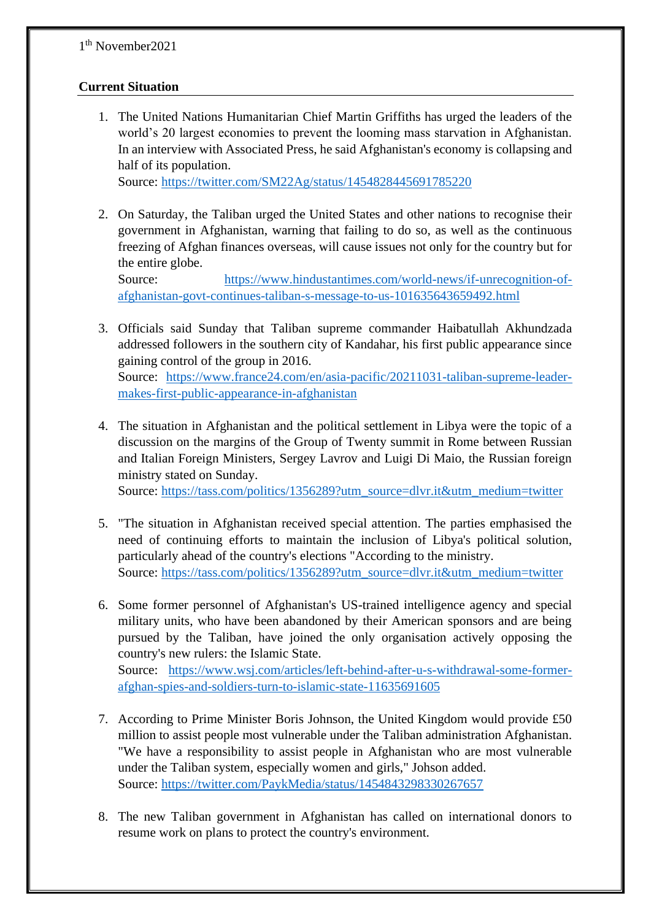## **Current Situation**

1. The United Nations Humanitarian Chief Martin Griffiths has urged the leaders of the world's 20 largest economies to prevent the looming mass starvation in Afghanistan. In an interview with Associated Press, he said Afghanistan's economy is collapsing and half of its population.

Source:<https://twitter.com/SM22Ag/status/1454828445691785220>

2. On Saturday, the Taliban urged the United States and other nations to recognise their government in Afghanistan, warning that failing to do so, as well as the continuous freezing of Afghan finances overseas, will cause issues not only for the country but for the entire globe.

Source: [https://www.hindustantimes.com/world-news/if-unrecognition-of](https://www.hindustantimes.com/world-news/if-unrecognition-of-afghanistan-govt-continues-taliban-s-message-to-us-101635643659492.html)[afghanistan-govt-continues-taliban-s-message-to-us-101635643659492.html](https://www.hindustantimes.com/world-news/if-unrecognition-of-afghanistan-govt-continues-taliban-s-message-to-us-101635643659492.html)

- 3. Officials said Sunday that Taliban supreme commander Haibatullah Akhundzada addressed followers in the southern city of Kandahar, his first public appearance since gaining control of the group in 2016. Source: [https://www.france24.com/en/asia-pacific/20211031-taliban-supreme-leader](https://www.france24.com/en/asia-pacific/20211031-taliban-supreme-leader-makes-first-public-appearance-in-afghanistan)[makes-first-public-appearance-in-afghanistan](https://www.france24.com/en/asia-pacific/20211031-taliban-supreme-leader-makes-first-public-appearance-in-afghanistan)
- 4. The situation in Afghanistan and the political settlement in Libya were the topic of a discussion on the margins of the Group of Twenty summit in Rome between Russian and Italian Foreign Ministers, Sergey Lavrov and Luigi Di Maio, the Russian foreign ministry stated on Sunday.

Source: [https://tass.com/politics/1356289?utm\\_source=dlvr.it&utm\\_medium=twitter](https://tass.com/politics/1356289?utm_source=dlvr.it&utm_medium=twitter)

- 5. "The situation in Afghanistan received special attention. The parties emphasised the need of continuing efforts to maintain the inclusion of Libya's political solution, particularly ahead of the country's elections "According to the ministry. Source: [https://tass.com/politics/1356289?utm\\_source=dlvr.it&utm\\_medium=twitter](https://tass.com/politics/1356289?utm_source=dlvr.it&utm_medium=twitter)
- 6. Some former personnel of Afghanistan's US-trained intelligence agency and special military units, who have been abandoned by their American sponsors and are being pursued by the Taliban, have joined the only organisation actively opposing the country's new rulers: the Islamic State. Source: [https://www.wsj.com/articles/left-behind-after-u-s-withdrawal-some-former-](https://www.wsj.com/articles/left-behind-after-u-s-withdrawal-some-former-afghan-spies-and-soldiers-turn-to-islamic-state-11635691605)

[afghan-spies-and-soldiers-turn-to-islamic-state-11635691605](https://www.wsj.com/articles/left-behind-after-u-s-withdrawal-some-former-afghan-spies-and-soldiers-turn-to-islamic-state-11635691605)

- 7. According to Prime Minister Boris Johnson, the United Kingdom would provide £50 million to assist people most vulnerable under the Taliban administration Afghanistan. "We have a responsibility to assist people in Afghanistan who are most vulnerable under the Taliban system, especially women and girls," Johson added. Source:<https://twitter.com/PaykMedia/status/1454843298330267657>
- 8. The new Taliban government in Afghanistan has called on international donors to resume work on plans to protect the country's environment.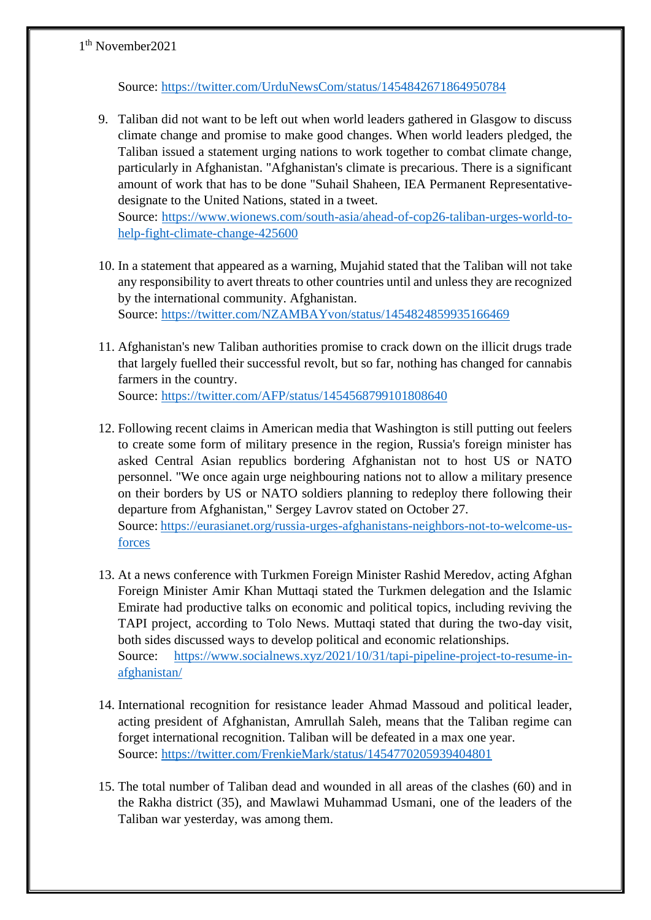Source:<https://twitter.com/UrduNewsCom/status/1454842671864950784>

9. Taliban did not want to be left out when world leaders gathered in Glasgow to discuss climate change and promise to make good changes. When world leaders pledged, the Taliban issued a statement urging nations to work together to combat climate change, particularly in Afghanistan. "Afghanistan's climate is precarious. There is a significant amount of work that has to be done "Suhail Shaheen, IEA Permanent Representativedesignate to the United Nations, stated in a tweet.

Source: [https://www.wionews.com/south-asia/ahead-of-cop26-taliban-urges-world-to](https://www.wionews.com/south-asia/ahead-of-cop26-taliban-urges-world-to-help-fight-climate-change-425600)[help-fight-climate-change-425600](https://www.wionews.com/south-asia/ahead-of-cop26-taliban-urges-world-to-help-fight-climate-change-425600)

- 10. In a statement that appeared as a warning, Mujahid stated that the [Taliban](https://twitter.com/hashtag/Taliban?src=hashtag_click) will not take any responsibility to avert threats to other countries until and unless they are recognized by the international community. [Afghanistan.](https://twitter.com/hashtag/Afghanistan?src=hashtag_click) Source:<https://twitter.com/NZAMBAYvon/status/1454824859935166469>
- 11. Afghanistan's new Taliban authorities promise to crack down on the illicit drugs trade that largely fuelled their successful revolt, but so far, nothing has changed for cannabis farmers in the country. Source:<https://twitter.com/AFP/status/1454568799101808640>
- 12. Following recent claims in American media that Washington is still putting out feelers to create some form of military presence in the region, Russia's foreign minister has asked Central Asian republics bordering Afghanistan not to host US or NATO personnel. "We once again urge neighbouring nations not to allow a military presence on their borders by US or NATO soldiers planning to redeploy there following their departure from Afghanistan," Sergey Lavrov stated on October 27. Source: [https://eurasianet.org/russia-urges-afghanistans-neighbors-not-to-welcome-us](https://eurasianet.org/russia-urges-afghanistans-neighbors-not-to-welcome-us-forces)[forces](https://eurasianet.org/russia-urges-afghanistans-neighbors-not-to-welcome-us-forces)
- 13. At a news conference with Turkmen Foreign Minister Rashid Meredov, acting Afghan Foreign Minister Amir Khan Muttaqi stated the Turkmen delegation and the Islamic Emirate had productive talks on economic and political topics, including reviving the TAPI project, according to Tolo News. Muttaqi stated that during the two-day visit, both sides discussed ways to develop political and economic relationships. Source: [https://www.socialnews.xyz/2021/10/31/tapi-pipeline-project-to-resume-in](https://www.socialnews.xyz/2021/10/31/tapi-pipeline-project-to-resume-in-afghanistan/)[afghanistan/](https://www.socialnews.xyz/2021/10/31/tapi-pipeline-project-to-resume-in-afghanistan/)
- 14. International recognition for resistance leader Ahmad Massoud and political leader, acting president of Afghanistan, Amrullah Saleh, means that the Taliban regime can forget international recognition. Taliban will be defeated in a max one year. Source:<https://twitter.com/FrenkieMark/status/1454770205939404801>
- 15. The total number of Taliban dead and wounded in all areas of the clashes (60) and in the Rakha district (35), and Mawlawi Muhammad Usmani, one of the leaders of the Taliban war yesterday, was among them.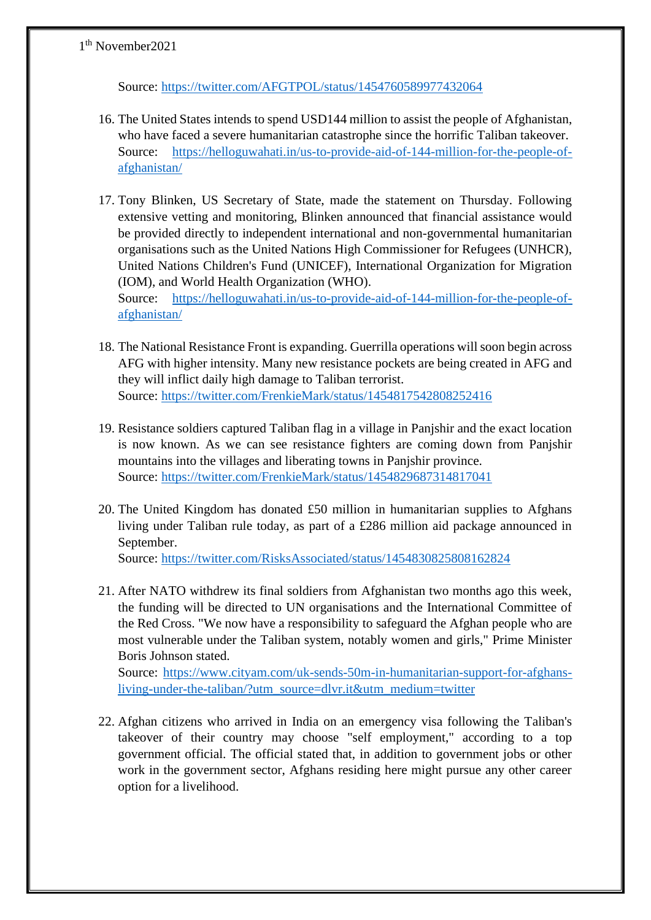Source:<https://twitter.com/AFGTPOL/status/1454760589977432064>

- 16. The United States intends to spend USD144 million to assist the people of Afghanistan, who have faced a severe humanitarian catastrophe since the horrific Taliban takeover. Source: [https://helloguwahati.in/us-to-provide-aid-of-144-million-for-the-people-of](https://helloguwahati.in/us-to-provide-aid-of-144-million-for-the-people-of-afghanistan/)[afghanistan/](https://helloguwahati.in/us-to-provide-aid-of-144-million-for-the-people-of-afghanistan/)
- 17. Tony Blinken, US Secretary of State, made the statement on Thursday. Following extensive vetting and monitoring, Blinken announced that financial assistance would be provided directly to independent international and non-governmental humanitarian organisations such as the United Nations High Commissioner for Refugees (UNHCR), United Nations Children's Fund (UNICEF), International Organization for Migration (IOM), and World Health Organization (WHO). Source: [https://helloguwahati.in/us-to-provide-aid-of-144-million-for-the-people-of-](https://helloguwahati.in/us-to-provide-aid-of-144-million-for-the-people-of-afghanistan/)

[afghanistan/](https://helloguwahati.in/us-to-provide-aid-of-144-million-for-the-people-of-afghanistan/)

- 18. The National Resistance Front is expanding. Guerrilla operations will soon begin across AFG with higher intensity. Many new resistance pockets are being created in AFG and they will inflict daily high damage to Taliban terrorist. Source:<https://twitter.com/FrenkieMark/status/1454817542808252416>
- 19. Resistance soldiers captured Taliban flag in a village in Panjshir and the exact location is now known. As we can see resistance fighters are coming down from Panjshir mountains into the villages and liberating towns in Panjshir province. Source:<https://twitter.com/FrenkieMark/status/1454829687314817041>
- 20. The United Kingdom has donated £50 million in humanitarian supplies to Afghans living under Taliban rule today, as part of a £286 million aid package announced in September.

Source:<https://twitter.com/RisksAssociated/status/1454830825808162824>

21. After NATO withdrew its final soldiers from Afghanistan two months ago this week, the funding will be directed to UN organisations and the International Committee of the Red Cross. "We now have a responsibility to safeguard the Afghan people who are most vulnerable under the Taliban system, notably women and girls," Prime Minister Boris Johnson stated.

Source: [https://www.cityam.com/uk-sends-50m-in-humanitarian-support-for-afghans](https://www.cityam.com/uk-sends-50m-in-humanitarian-support-for-afghans-living-under-the-taliban/?utm_source=dlvr.it&utm_medium=twitter)[living-under-the-taliban/?utm\\_source=dlvr.it&utm\\_medium=twitter](https://www.cityam.com/uk-sends-50m-in-humanitarian-support-for-afghans-living-under-the-taliban/?utm_source=dlvr.it&utm_medium=twitter)

22. Afghan citizens who arrived in India on an emergency visa following the Taliban's takeover of their country may choose "self employment," according to a top government official. The official stated that, in addition to government jobs or other work in the government sector, Afghans residing here might pursue any other career option for a livelihood.